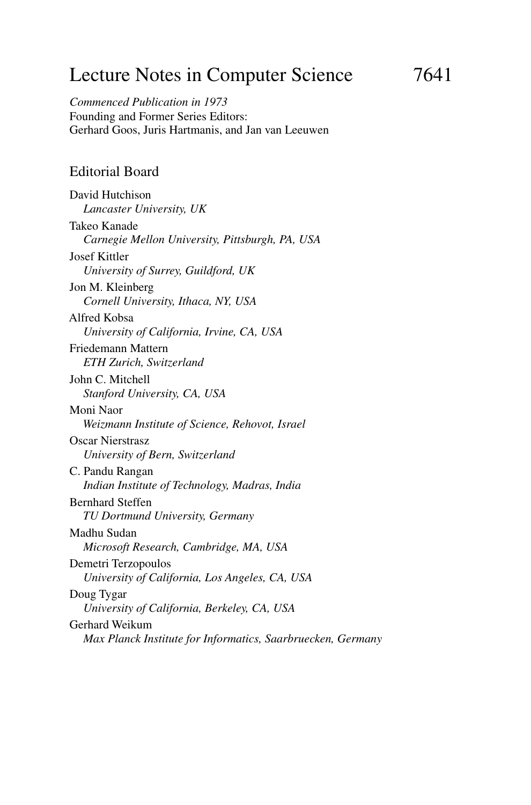# Lecture Notes in Computer Science 7641

*Commenced Publication in 1973* Founding and Former Series Editors: Gerhard Goos, Juris Hartmanis, and Jan van Leeuwen

#### Editorial Board

David Hutchison *Lancaster University, UK* Takeo Kanade *Carnegie Mellon University, Pittsburgh, PA, USA* Josef Kittler *University of Surrey, Guildford, UK* Jon M. Kleinberg *Cornell University, Ithaca, NY, USA* Alfred Kobsa *University of California, Irvine, CA, USA* Friedemann Mattern *ETH Zurich, Switzerland* John C. Mitchell *Stanford University, CA, USA* Moni Naor *Weizmann Institute of Science, Rehovot, Israel* Oscar Nierstrasz *University of Bern, Switzerland* C. Pandu Rangan *Indian Institute of Technology, Madras, India* Bernhard Steffen *TU Dortmund University, Germany* Madhu Sudan *Microsoft Research, Cambridge, MA, USA* Demetri Terzopoulos *University of California, Los Angeles, CA, USA* Doug Tygar *University of California, Berkeley, CA, USA* Gerhard Weikum *Max Planck Institute for Informatics, Saarbruecken, Germany*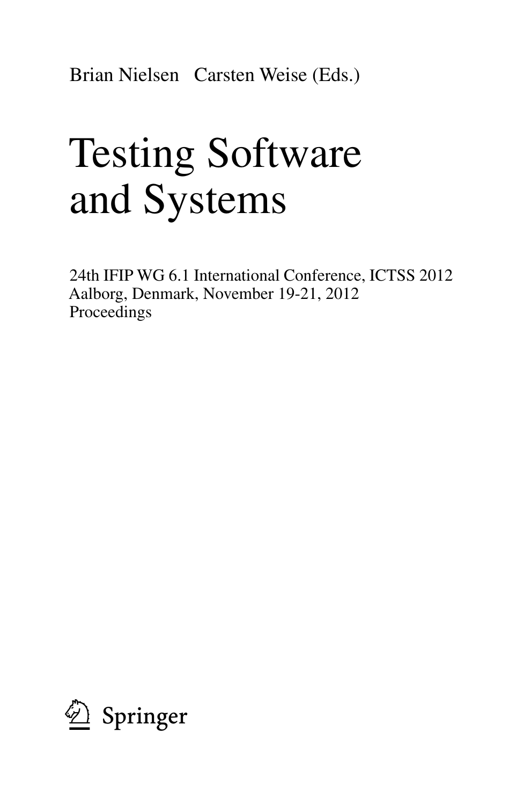Brian Nielsen Carsten Weise (Eds.)

# Testing Software and Systems

24th IFIP WG 6.1 International Conference, ICTSS 2012 Aalborg, Denmark, November 19-21, 2012 Proceedings

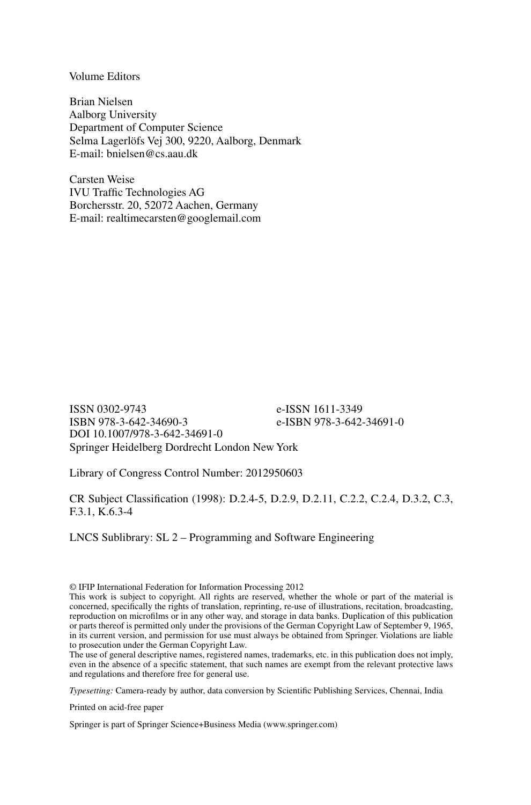Volume Editors

Brian Nielsen Aalborg University Department of Computer Science Selma Lagerlöfs Vej 300, 9220, Aalborg, Denmark E-mail: bnielsen@cs.aau.dk

Carsten Weise IVU Traffic Technologies AG Borchersstr. 20, 52072 Aachen, Germany E-mail: realtimecarsten@googlemail.com

ISSN 0302-9743 e-ISSN 1611-3349 e-ISBN 978-3-642-34691-0 DOI 10.1007/978-3-642-34691-0 Springer Heidelberg Dordrecht London New York

Library of Congress Control Number: 2012950603

CR Subject Classification (1998): D.2.4-5, D.2.9, D.2.11, C.2.2, C.2.4, D.3.2, C.3, F.3.1, K.6.3-4

LNCS Sublibrary: SL 2 – Programming and Software Engineering

© IFIP International Federation for Information Processing 2012

The use of general descriptive names, registered names, trademarks, etc. in this publication does not imply, even in the absence of a specific statement, that such names are exempt from the relevant protective laws and regulations and therefore free for general use.

*Typesetting:* Camera-ready by author, data conversion by Scientific Publishing Services, Chennai, India

Printed on acid-free paper

Springer is part of Springer Science+Business Media (www.springer.com)

This work is subject to copyright. All rights are reserved, whether the whole or part of the material is concerned, specifically the rights of translation, reprinting, re-use of illustrations, recitation, broadcasting, reproduction on microfilms or in any other way, and storage in data banks. Duplication of this publication or parts thereof is permitted only under the provisions of the German Copyright Law of September 9, 1965, in its current version, and permission for use must always be obtained from Springer. Violations are liable to prosecution under the German Copyright Law.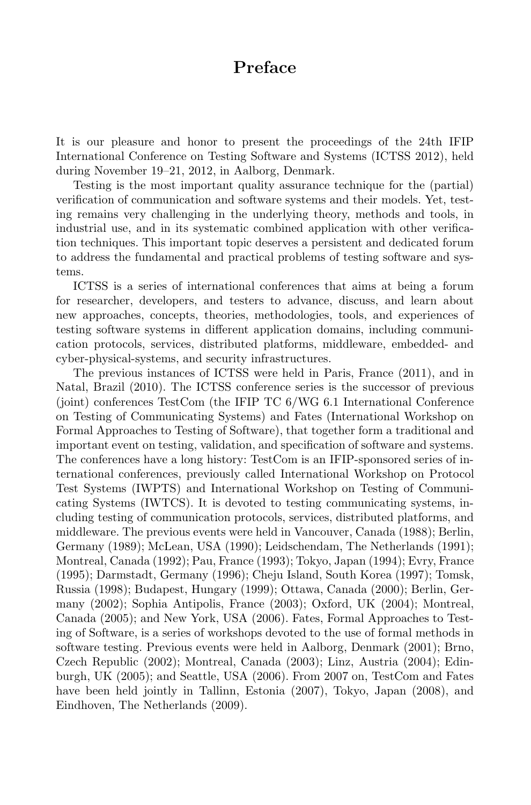# **Preface**

It is our pleasure and honor to present the proceedings of the 24th IFIP International Conference on Testing Software and Systems (ICTSS 2012), held during November 19–21, 2012, in Aalborg, Denmark.

Testing is the most important quality assurance technique for the (partial) verification of communication and software systems and their models. Yet, testing remains very challenging in the underlying theory, methods and tools, in industrial use, and in its systematic combined application with other verification techniques. This important topic deserves a persistent and dedicated forum to address the fundamental and practical problems of testing software and systems.

ICTSS is a series of international conferences that aims at being a forum for researcher, developers, and testers to advance, discuss, and learn about new approaches, concepts, theories, methodologies, tools, and experiences of testing software systems in different application domains, including communication protocols, services, distributed platforms, middleware, embedded- and cyber-physical-systems, and security infrastructures.

The previous instances of ICTSS were held in Paris, France (2011), and in Natal, Brazil (2010). The ICTSS conference series is the successor of previous (joint) conferences TestCom (the IFIP TC 6/WG 6.1 International Conference on Testing of Communicating Systems) and Fates (International Workshop on Formal Approaches to Testing of Software), that together form a traditional and important event on testing, validation, and specification of software and systems. The conferences have a long history: TestCom is an IFIP-sponsored series of international conferences, previously called International Workshop on Protocol Test Systems (IWPTS) and International Workshop on Testing of Communicating Systems (IWTCS). It is devoted to testing communicating systems, including testing of communication protocols, services, distributed platforms, and middleware. The previous events were held in Vancouver, Canada (1988); Berlin, Germany (1989); McLean, USA (1990); Leidschendam, The Netherlands (1991); Montreal, Canada (1992); Pau, France (1993); Tokyo, Japan (1994); Evry, France (1995); Darmstadt, Germany (1996); Cheju Island, South Korea (1997); Tomsk, Russia (1998); Budapest, Hungary (1999); Ottawa, Canada (2000); Berlin, Germany (2002); Sophia Antipolis, France (2003); Oxford, UK (2004); Montreal, Canada (2005); and New York, USA (2006). Fates, Formal Approaches to Testing of Software, is a series of workshops devoted to the use of formal methods in software testing. Previous events were held in Aalborg, Denmark (2001); Brno, Czech Republic (2002); Montreal, Canada (2003); Linz, Austria (2004); Edinburgh, UK (2005); and Seattle, USA (2006). From 2007 on, TestCom and Fates have been held jointly in Tallinn, Estonia (2007), Tokyo, Japan (2008), and Eindhoven, The Netherlands (2009).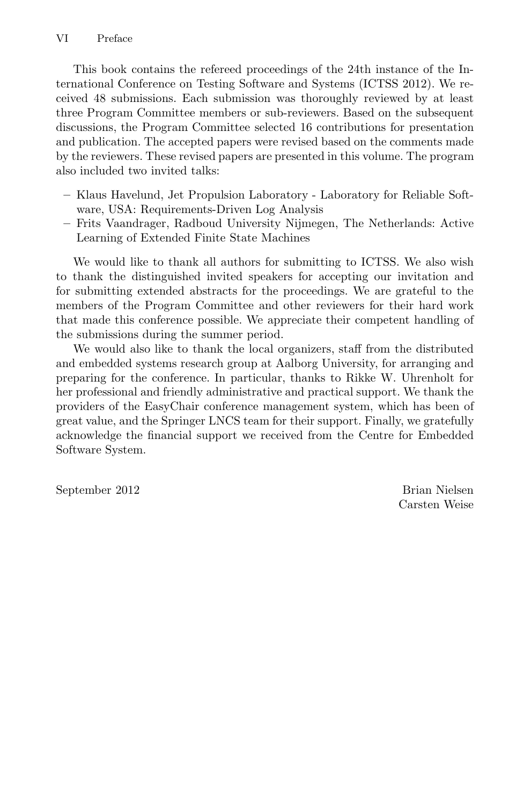This book contains the refereed proceedings of the 24th instance of the International Conference on Testing Software and Systems (ICTSS 2012). We received 48 submissions. Each submission was thoroughly reviewed by at least three Program Committee members or sub-reviewers. Based on the subsequent discussions, the Program Committee selected 16 contributions for presentation and publication. The accepted papers were revised based on the comments made by the reviewers. These revised papers are presented in this volume. The program also included two invited talks:

- **–** Klaus Havelund, Jet Propulsion Laboratory Laboratory for Reliable Software, USA: Requirements-Driven Log Analysis
- **–** Frits Vaandrager, Radboud University Nijmegen, The Netherlands: Active Learning of Extended Finite State Machines

We would like to thank all authors for submitting to ICTSS. We also wish to thank the distinguished invited speakers for accepting our invitation and for submitting extended abstracts for the proceedings. We are grateful to the members of the Program Committee and other reviewers for their hard work that made this conference possible. We appreciate their competent handling of the submissions during the summer period.

We would also like to thank the local organizers, staff from the distributed and embedded systems research group at Aalborg University, for arranging and preparing for the conference. In particular, thanks to Rikke W. Uhrenholt for her professional and friendly administrative and practical support. We thank the providers of the EasyChair conference management system, which has been of great value, and the Springer LNCS team for their support. Finally, we gratefully acknowledge the financial support we received from the Centre for Embedded Software System.

September 2012 Brian Nielsen

Carsten Weise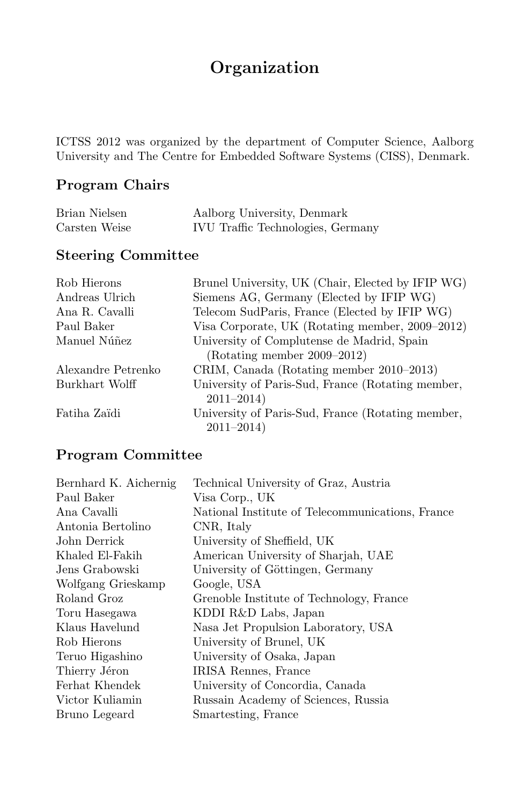# **Organization**

ICTSS 2012 was organized by the department of Computer Science, Aalborg University and The Centre for Embedded Software Systems (CISS), Denmark.

## **Program Chairs**

| Brian Nielsen | Aalborg University, Denmark              |
|---------------|------------------------------------------|
| Carsten Weise | <b>IVU</b> Traffic Technologies, Germany |

## **Steering Committee**

| Rob Hierons        | Brunel University, UK (Chair, Elected by IFIP WG) |
|--------------------|---------------------------------------------------|
| Andreas Ulrich     | Siemens AG, Germany (Elected by IFIP WG)          |
| Ana R. Cavalli     | Telecom SudParis, France (Elected by IFIP WG)     |
| Paul Baker         | Visa Corporate, UK (Rotating member, 2009–2012)   |
| Manuel Núñez       | University of Complutense de Madrid, Spain        |
|                    | $(Rotating member 2009-2012)$                     |
| Alexandre Petrenko | CRIM, Canada (Rotating member 2010–2013)          |
| Burkhart Wolff     | University of Paris-Sud, France (Rotating member, |
|                    | $2011 - 2014$                                     |
| Fatiha Zaïdi       | University of Paris-Sud, France (Rotating member, |
|                    | $2011 - 2014$                                     |

## **Program Committee**

| Bernhard K. Aichernig | Technical University of Graz, Austria            |
|-----------------------|--------------------------------------------------|
| Paul Baker            | Visa Corp., UK                                   |
| Ana Cavalli           | National Institute of Telecommunications, France |
| Antonia Bertolino     | CNR, Italy                                       |
| John Derrick          | University of Sheffield, UK                      |
| Khaled El-Fakih       | American University of Sharjah, UAE              |
| Jens Grabowski        | University of Göttingen, Germany                 |
| Wolfgang Grieskamp    | Google, USA                                      |
| Roland Groz           | Grenoble Institute of Technology, France         |
| Toru Hasegawa         | KDDI R&D Labs, Japan                             |
| Klaus Havelund        | Nasa Jet Propulsion Laboratory, USA              |
| Rob Hierons           | University of Brunel, UK                         |
| Teruo Higashino       | University of Osaka, Japan                       |
| Thierry Jéron         | IRISA Rennes, France                             |
| Ferhat Khendek        | University of Concordia, Canada                  |
| Victor Kuliamin       | Russain Academy of Sciences, Russia              |
| Bruno Legeard         | Smartesting, France                              |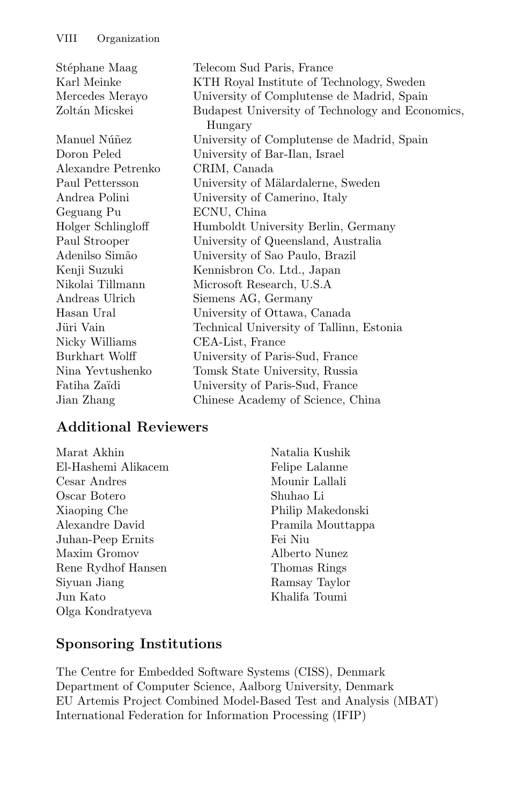| Stéphane Maag      | Telecom Sud Paris, France                                   |
|--------------------|-------------------------------------------------------------|
| Karl Meinke        | KTH Royal Institute of Technology, Sweden                   |
| Mercedes Merayo    | University of Complutense de Madrid, Spain                  |
| Zoltán Micskei     | Budapest University of Technology and Economics,<br>Hungary |
| Manuel Núñez       | University of Complutense de Madrid, Spain                  |
| Doron Peled        | University of Bar-Ilan, Israel                              |
| Alexandre Petrenko | CRIM, Canada                                                |
| Paul Pettersson    | University of Mälardalerne, Sweden                          |
| Andrea Polini      | University of Camerino, Italy                               |
| Geguang Pu         | ECNU, China                                                 |
| Holger Schlingloff | Humboldt University Berlin, Germany                         |
| Paul Strooper      | University of Queensland, Australia                         |
| Adenilso Simão     | University of Sao Paulo, Brazil                             |
| Kenji Suzuki       | Kennisbron Co. Ltd., Japan                                  |
| Nikolai Tillmann   | Microsoft Research, U.S.A                                   |
| Andreas Ulrich     | Siemens AG, Germany                                         |
| Hasan Ural         | University of Ottawa, Canada                                |
| Jüri Vain          | Technical University of Tallinn, Estonia                    |
| Nicky Williams     | CEA-List, France                                            |
| Burkhart Wolff     | University of Paris-Sud, France                             |
| Nina Yevtushenko   | Tomsk State University, Russia                              |
| Fatiha Zaïdi       | University of Paris-Sud, France                             |
| Jian Zhang         | Chinese Academy of Science, China                           |
|                    |                                                             |

#### **Additional Reviewers**

Marat Akhin El-Hashemi Alikacem Cesar Andres Oscar Botero Xiaoping Che Alexandre David Juhan-Peep Ernits Maxim Gromov Rene Rydhof Hansen Siyuan Jiang Jun Kato Olga Kondratyeva

Natalia Kushik Felipe Lalanne Mounir Lallali Shuhao Li Philip Makedonski Pramila Mouttappa Fei Niu Alberto Nunez Thomas Rings Ramsay Taylor Khalifa Toumi

## **Sponsoring Institutions**

The Centre for Embedded Software Systems (CISS), Denmark Department of Computer Science, Aalborg University, Denmark EU Artemis Project Combined Model-Based Test and Analysis (MBAT) International Federation for Information Processing (IFIP)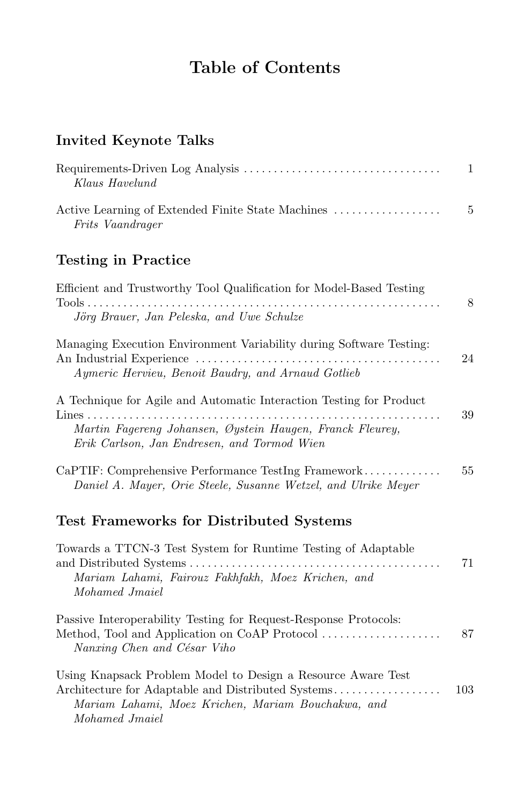# **Table of Contents**

# **Invited Keynote Talks**

|                                                   | -1  |
|---------------------------------------------------|-----|
| Klaus Havelund                                    |     |
| Active Learning of Extended Finite State Machines | - 5 |
| Frits Vaandrager                                  |     |

# **Testing in Practice**

| Efficient and Trustworthy Tool Qualification for Model-Based Testing<br>$Tools \ldots \ldots \ldots \ldots \ldots \ldots$<br>Jörg Brauer, Jan Peleska, and Uwe Schulze                     | 8   |
|--------------------------------------------------------------------------------------------------------------------------------------------------------------------------------------------|-----|
| Managing Execution Environment Variability during Software Testing:<br>Aymeric Hervieu, Benoit Baudry, and Arnaud Gotlieb                                                                  | 24  |
| A Technique for Agile and Automatic Interaction Testing for Product<br>Martin Fagereng Johansen, Øystein Haugen, Franck Fleurey,<br>Erik Carlson, Jan Endresen, and Tormod Wien            | 39  |
| CaPTIF: Comprehensive Performance TestIng Framework<br>Daniel A. Mayer, Orie Steele, Susanne Wetzel, and Ulrike Meyer                                                                      | 55  |
| <b>Test Frameworks for Distributed Systems</b>                                                                                                                                             |     |
| Towards a TTCN-3 Test System for Runtime Testing of Adaptable<br>Mariam Lahami, Fairouz Fakhfakh, Moez Krichen, and<br>Mohamed Jmaiel                                                      | 71  |
| Passive Interoperability Testing for Request-Response Protocols:<br>Method, Tool and Application on CoAP Protocol<br>Nanxing Chen and César Viho                                           | 87  |
| Using Knapsack Problem Model to Design a Resource Aware Test<br>Architecture for Adaptable and Distributed Systems<br>Mariam Lahami, Moez Krichen, Mariam Bouchakwa, and<br>Mohamed Jmaiel | 103 |